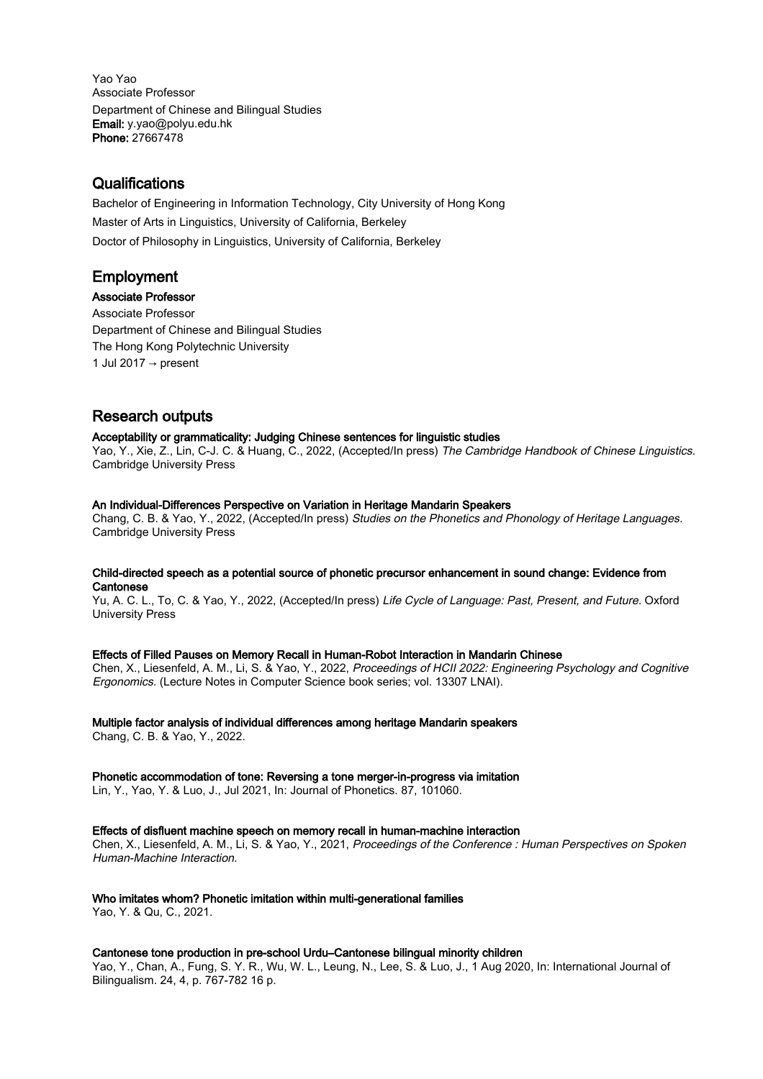Yao Yao Associate Professor Department of Chinese and Bilingual Studies Email: y.yao@polyu.edu.hk Phone: 27667478

# **Qualifications**

Bachelor of Engineering in Information Technology, City University of Hong Kong Master of Arts in Linguistics, University of California, Berkeley Doctor of Philosophy in Linguistics, University of California, Berkeley

# Employment

Associate Professor Associate Professor Department of Chinese and Bilingual Studies The Hong Kong Polytechnic University 1 Jul 2017  $\rightarrow$  present

# Research outputs

# Acceptability or grammaticality: Judging Chinese sentences for linguistic studies

Yao, Y., Xie, Z., Lin, C-J. C. & Huang, C., 2022, (Accepted/In press) The Cambridge Handbook of Chinese Linguistics. Cambridge University Press

# An Individual-Differences Perspective on Variation in Heritage Mandarin Speakers

Chang, C. B. & Yao, Y., 2022, (Accepted/In press) Studies on the Phonetics and Phonology of Heritage Languages. Cambridge University Press

# Child-directed speech as a potential source of phonetic precursor enhancement in sound change: Evidence from **Cantonese**

Yu, A. C. L., To, C. & Yao, Y., 2022, (Accepted/In press) Life Cycle of Language: Past, Present, and Future. Oxford University Press

# Effects of Filled Pauses on Memory Recall in Human-Robot Interaction in Mandarin Chinese

Chen, X., Liesenfeld, A. M., Li, S. & Yao, Y., 2022, Proceedings of HCII 2022: Engineering Psychology and Cognitive Ergonomics. (Lecture Notes in Computer Science book series; vol. 13307 LNAI).

# Multiple factor analysis of individual differences among heritage Mandarin speakers

Chang, C. B. & Yao, Y., 2022.

# Phonetic accommodation of tone: Reversing a tone merger-in-progress via imitation

Lin, Y., Yao, Y. & Luo, J., Jul 2021, In: Journal of Phonetics. 87, 101060.

# Effects of disfluent machine speech on memory recall in human-machine interaction

Chen, X., Liesenfeld, A. M., Li, S. & Yao, Y., 2021, Proceedings of the Conference : Human Perspectives on Spoken Human-Machine Interaction.

# Who imitates whom? Phonetic imitation within multi-generational families

Yao, Y. & Qu, C., 2021.

# Cantonese tone production in pre-school Urdu–Cantonese bilingual minority children

Yao, Y., Chan, A., Fung, S. Y. R., Wu, W. L., Leung, N., Lee, S. & Luo, J., 1 Aug 2020, In: International Journal of Bilingualism. 24, 4, p. 767-782 16 p.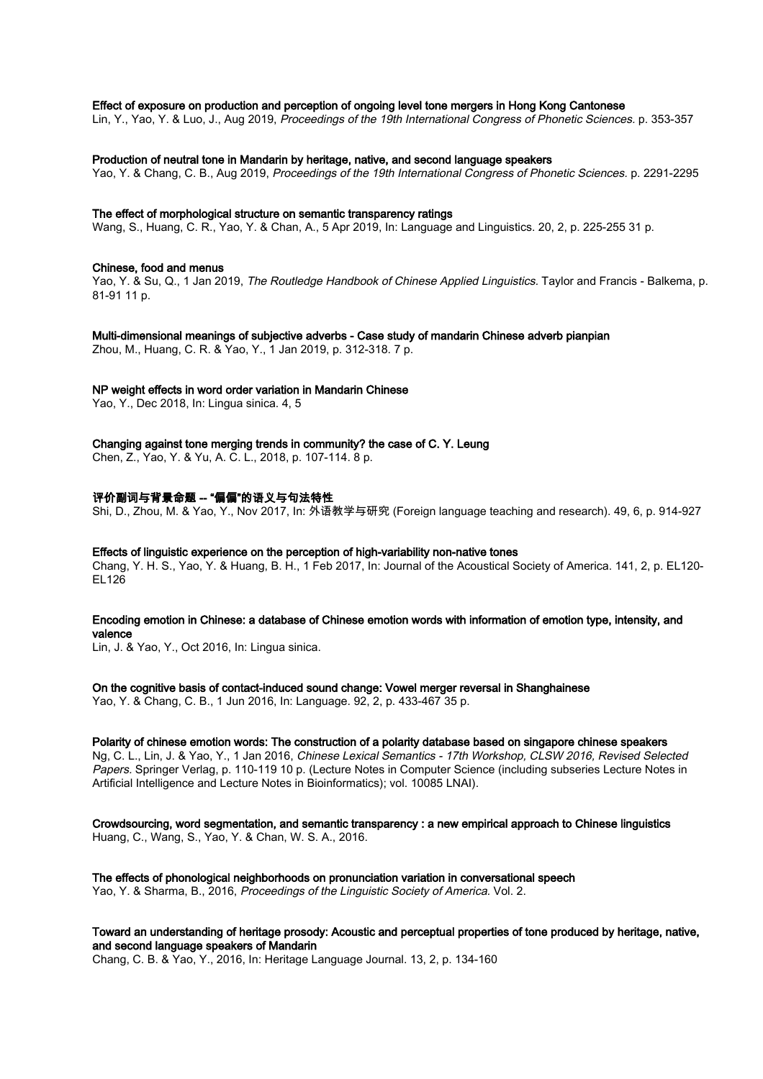## Effect of exposure on production and perception of ongoing level tone mergers in Hong Kong Cantonese

Lin, Y., Yao, Y. & Luo, J., Aug 2019, Proceedings of the 19th International Congress of Phonetic Sciences. p. 353-357

#### Production of neutral tone in Mandarin by heritage, native, and second language speakers

Yao, Y. & Chang, C. B., Aug 2019, Proceedings of the 19th International Congress of Phonetic Sciences. p. 2291-2295

#### The effect of morphological structure on semantic transparency ratings

Wang, S., Huang, C. R., Yao, Y. & Chan, A., 5 Apr 2019, In: Language and Linguistics. 20, 2, p. 225-255 31 p.

#### Chinese, food and menus

Yao, Y. & Su, Q., 1 Jan 2019, The Routledge Handbook of Chinese Applied Linguistics. Taylor and Francis - Balkema, p. 81-91 11 p.

# Multi-dimensional meanings of subjective adverbs - Case study of mandarin Chinese adverb pianpian

Zhou, M., Huang, C. R. & Yao, Y., 1 Jan 2019, p. 312-318. 7 p.

## NP weight effects in word order variation in Mandarin Chinese

Yao, Y., Dec 2018, In: Lingua sinica. 4, 5

## Changing against tone merging trends in community? the case of C. Y. Leung

Chen, Z., Yao, Y. & Yu, A. C. L., 2018, p. 107-114. 8 p.

## 评价副词与背景命题 -- "偏偏"的语义与句法特性

Shi, D., Zhou, M. & Yao, Y., Nov 2017, In: 外语教学与研究 (Foreign language teaching and research). 49, 6, p. 914-927

## Effects of linguistic experience on the perception of high-variability non-native tones

Chang, Y. H. S., Yao, Y. & Huang, B. H., 1 Feb 2017, In: Journal of the Acoustical Society of America. 141, 2, p. EL120- EL126

## Encoding emotion in Chinese: a database of Chinese emotion words with information of emotion type, intensity, and valence

Lin, J. & Yao, Y., Oct 2016, In: Lingua sinica.

#### On the cognitive basis of contact-induced sound change: Vowel merger reversal in Shanghainese

Yao, Y. & Chang, C. B., 1 Jun 2016, In: Language. 92, 2, p. 433-467 35 p.

#### Polarity of chinese emotion words: The construction of a polarity database based on singapore chinese speakers

Ng, C. L., Lin, J. & Yao, Y., 1 Jan 2016, Chinese Lexical Semantics - 17th Workshop, CLSW 2016, Revised Selected Papers. Springer Verlag, p. 110-119 10 p. (Lecture Notes in Computer Science (including subseries Lecture Notes in Artificial Intelligence and Lecture Notes in Bioinformatics); vol. 10085 LNAI).

#### Crowdsourcing, word segmentation, and semantic transparency : a new empirical approach to Chinese linguistics Huang, C., Wang, S., Yao, Y. & Chan, W. S. A., 2016.

The effects of phonological neighborhoods on pronunciation variation in conversational speech Yao, Y. & Sharma, B., 2016, Proceedings of the Linguistic Society of America. Vol. 2.

# Toward an understanding of heritage prosody: Acoustic and perceptual properties of tone produced by heritage, native, and second language speakers of Mandarin

Chang, C. B. & Yao, Y., 2016, In: Heritage Language Journal. 13, 2, p. 134-160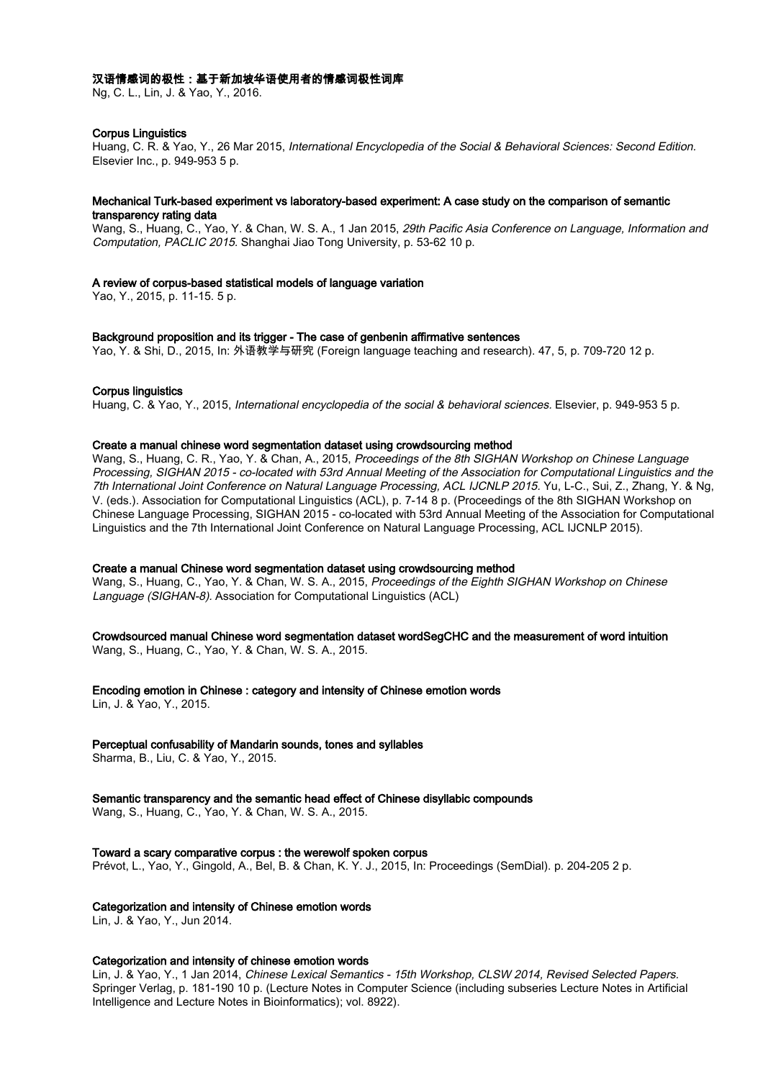# 汉语情感词的极性:基于新加坡华语使用者的情感词极性词库

Ng, C. L., Lin, J. & Yao, Y., 2016.

# Corpus Linguistics

Huang, C. R. & Yao, Y., 26 Mar 2015, International Encyclopedia of the Social & Behavioral Sciences: Second Edition. Elsevier Inc., p. 949-953 5 p.

# Mechanical Turk-based experiment vs laboratory-based experiment: A case study on the comparison of semantic transparency rating data

Wang, S., Huang, C., Yao, Y. & Chan, W. S. A., 1 Jan 2015, 29th Pacific Asia Conference on Language, Information and Computation, PACLIC 2015. Shanghai Jiao Tong University, p. 53-62 10 p.

# A review of corpus-based statistical models of language variation

Yao, Y., 2015, p. 11-15. 5 p.

#### Background proposition and its trigger - The case of genbenin affirmative sentences

Yao, Y. & Shi, D., 2015, In: 外语教学与研究 (Foreign language teaching and research). 47, 5, p. 709-720 12 p.

# Corpus linguistics

Huang, C. & Yao, Y., 2015, International encyclopedia of the social & behavioral sciences. Elsevier, p. 949-953 5 p.

## Create a manual chinese word segmentation dataset using crowdsourcing method

Wang, S., Huang, C. R., Yao, Y. & Chan, A., 2015, Proceedings of the 8th SIGHAN Workshop on Chinese Language Processing, SIGHAN 2015 - co-located with 53rd Annual Meeting of the Association for Computational Linguistics and the 7th International Joint Conference on Natural Language Processing, ACL IJCNLP 2015. Yu, L-C., Sui, Z., Zhang, Y. & Ng, V. (eds.). Association for Computational Linguistics (ACL), p. 7-14 8 p. (Proceedings of the 8th SIGHAN Workshop on Chinese Language Processing, SIGHAN 2015 - co-located with 53rd Annual Meeting of the Association for Computational Linguistics and the 7th International Joint Conference on Natural Language Processing, ACL IJCNLP 2015).

# Create a manual Chinese word segmentation dataset using crowdsourcing method

Wang, S., Huang, C., Yao, Y. & Chan, W. S. A., 2015, Proceedings of the Eighth SIGHAN Workshop on Chinese Language (SIGHAN-8). Association for Computational Linguistics (ACL)

# Crowdsourced manual Chinese word segmentation dataset wordSegCHC and the measurement of word intuition

Wang, S., Huang, C., Yao, Y. & Chan, W. S. A., 2015.

# Encoding emotion in Chinese : category and intensity of Chinese emotion words

Lin, J. & Yao, Y., 2015.

# Perceptual confusability of Mandarin sounds, tones and syllables

Sharma, B., Liu, C. & Yao, Y., 2015.

# Semantic transparency and the semantic head effect of Chinese disyllabic compounds

Wang, S., Huang, C., Yao, Y. & Chan, W. S. A., 2015.

# Toward a scary comparative corpus : the werewolf spoken corpus

Prévot, L., Yao, Y., Gingold, A., Bel, B. & Chan, K. Y. J., 2015, In: Proceedings (SemDial). p. 204-205 2 p.

# Categorization and intensity of Chinese emotion words

Lin, J. & Yao, Y., Jun 2014.

# Categorization and intensity of chinese emotion words

Lin, J. & Yao, Y., 1 Jan 2014, Chinese Lexical Semantics - 15th Workshop, CLSW 2014, Revised Selected Papers. Springer Verlag, p. 181-190 10 p. (Lecture Notes in Computer Science (including subseries Lecture Notes in Artificial Intelligence and Lecture Notes in Bioinformatics); vol. 8922).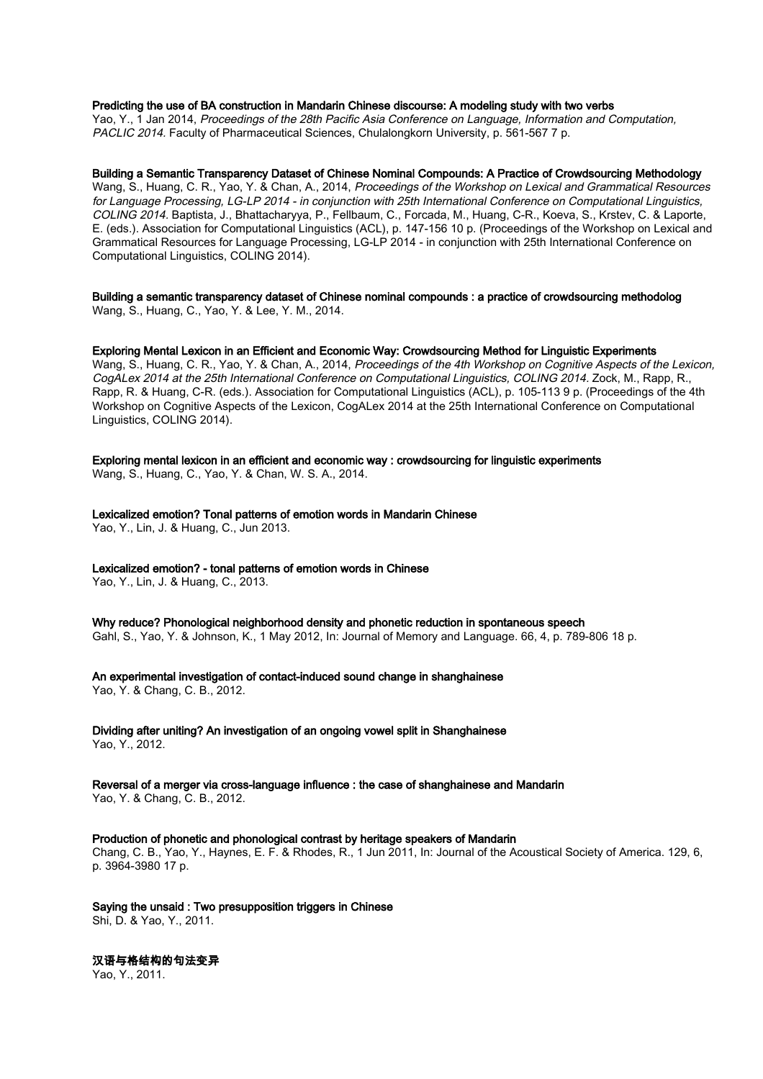# Predicting the use of BA construction in Mandarin Chinese discourse: A modeling study with two verbs

Yao, Y., 1 Jan 2014, Proceedings of the 28th Pacific Asia Conference on Language, Information and Computation, PACLIC 2014. Faculty of Pharmaceutical Sciences, Chulalongkorn University, p. 561-567 7 p.

## Building a Semantic Transparency Dataset of Chinese Nominal Compounds: A Practice of Crowdsourcing Methodology

Wang, S., Huang, C. R., Yao, Y. & Chan, A., 2014, Proceedings of the Workshop on Lexical and Grammatical Resources for Language Processing, LG-LP 2014 - in conjunction with 25th International Conference on Computational Linguistics, COLING 2014. Baptista, J., Bhattacharyya, P., Fellbaum, C., Forcada, M., Huang, C-R., Koeva, S., Krstev, C. & Laporte, E. (eds.). Association for Computational Linguistics (ACL), p. 147-156 10 p. (Proceedings of the Workshop on Lexical and Grammatical Resources for Language Processing, LG-LP 2014 - in conjunction with 25th International Conference on Computational Linguistics, COLING 2014).

Building a semantic transparency dataset of Chinese nominal compounds : a practice of crowdsourcing methodolog Wang, S., Huang, C., Yao, Y. & Lee, Y. M., 2014.

#### Exploring Mental Lexicon in an Efficient and Economic Way: Crowdsourcing Method for Linguistic Experiments

Wang, S., Huang, C. R., Yao, Y. & Chan, A., 2014, Proceedings of the 4th Workshop on Cognitive Aspects of the Lexicon, CogALex 2014 at the 25th International Conference on Computational Linguistics, COLING 2014. Zock, M., Rapp, R., Rapp, R. & Huang, C-R. (eds.). Association for Computational Linguistics (ACL), p. 105-113 9 p. (Proceedings of the 4th Workshop on Cognitive Aspects of the Lexicon, CogALex 2014 at the 25th International Conference on Computational Linguistics, COLING 2014).

Exploring mental lexicon in an efficient and economic way : crowdsourcing for linguistic experiments

Wang, S., Huang, C., Yao, Y. & Chan, W. S. A., 2014.

Lexicalized emotion? Tonal patterns of emotion words in Mandarin Chinese Yao, Y., Lin, J. & Huang, C., Jun 2013.

#### Lexicalized emotion? - tonal patterns of emotion words in Chinese

Yao, Y., Lin, J. & Huang, C., 2013.

Why reduce? Phonological neighborhood density and phonetic reduction in spontaneous speech Gahl, S., Yao, Y. & Johnson, K., 1 May 2012, In: Journal of Memory and Language. 66, 4, p. 789-806 18 p.

An experimental investigation of contact-induced sound change in shanghainese

Yao, Y. & Chang, C. B., 2012.

Dividing after uniting? An investigation of an ongoing vowel split in Shanghainese Yao, Y., 2012.

Reversal of a merger via cross-language influence : the case of shanghainese and Mandarin Yao, Y. & Chang, C. B., 2012.

#### Production of phonetic and phonological contrast by heritage speakers of Mandarin

Chang, C. B., Yao, Y., Haynes, E. F. & Rhodes, R., 1 Jun 2011, In: Journal of the Acoustical Society of America. 129, 6, p. 3964-3980 17 p.

# Saying the unsaid : Two presupposition triggers in Chinese

Shi, D. & Yao, Y., 2011.

# 汉语与格结构的句法变异

Yao, Y., 2011.